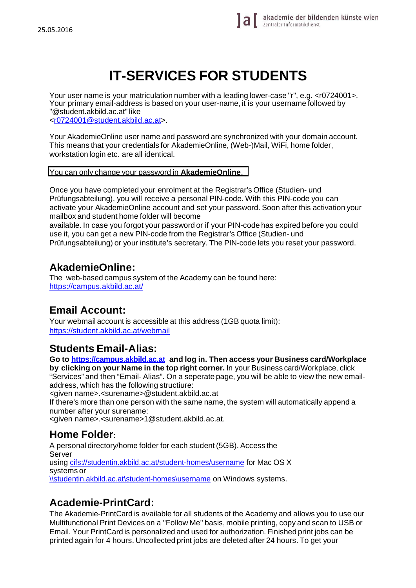# **IT-SERVICES FOR STUDENTS**

Your user name is your matriculation number with a leading lower-case "r", e.g. <r0724001>. Your primary email-address is based on your user-name, it is your username followed by "@student.akbild.ac.at" like

<r0724001@student.akbild.ac.at>.

Your AkademieOnline user name and password are synchronized with your domain account. This means that your credentials for AkademieOnline, (Web-)Mail, WiFi, home folder, workstation login etc. are all identical.

You can only change your password in **AkademieOnline**.

Once you have completed your enrolment at the Registrar's Office (Studien- und Prüfungsabteilung), you will receive a personal PIN-code. With this PIN-code you can activate your AkademieOnline account and set your password. Soon after this activation your mailbox and student home folder will become

available. In case you forgot your password or if your PIN-code has expired before you could use it, you can get a new PIN-code from the Registrar's Office (Studien- und Prüfungsabteilung) or your institute's secretary. The PIN-code lets you reset your password.

### **AkademieOnline:**

The web-based campus system of the Academy can be found here: https://campus.akbild.ac.at/

## **Email Account:**

Your webmail account is accessible at this address (1GB quota limit): https://student.akbild.ac.at/webmail

## **Students Email-Alias:**

**Go to https://campus.akbild.ac.at and log in. Then access your Business card/Workplace by clicking on your Name in the top right corner.** In your Business card/Workplace, click "Services" and then "Email- Alias". On a seperate page, you will be able to view the new emailaddress, which has the following structiure:

<given name>.<surename>@student.akbild.ac.at

If there's more than one person with the same name, the system will automatically append a number after your surename:

<given name>.<surename>1@student.akbild.ac.at.

## **Home Folder:**

A personal directory/home folder for each student (5GB). Access the Server using cifs://studentin.akbild.ac.at/student-homes/username for Mac OS X systems or \\studentin.akbild.ac.at\student-homes\username on Windows systems.

## **Academie-PrintCard:**

The Akademie-PrintCard is available for all students of the Academy and allows you to use our Multifunctional Print Devices on a "Follow Me" basis, mobile printing, copy and scan to USB or Email. Your PrintCard is personalized and used for authorization. Finished print jobs can be printed again for 4 hours. Uncollected print jobs are deleted after 24 hours. To get your